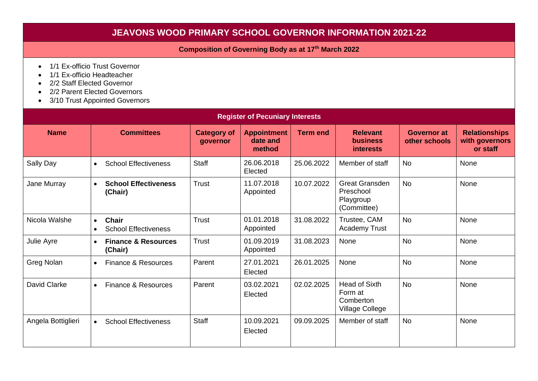## **JEAVONS WOOD PRIMARY SCHOOL GOVERNOR INFORMATION 2021-22**

## **Composition of Governing Body as at 17 th March 2022**

- 1/1 Ex-officio Trust Governor
- 1/1 Ex-officio Headteacher
- 2/2 Staff Elected Governor
- 2/2 Parent Elected Governors
- 3/10 Trust Appointed Governors

| <b>Register of Pecuniary Interests</b> |                                                                       |                                |                                          |                 |                                                                |                                     |                                                    |  |  |
|----------------------------------------|-----------------------------------------------------------------------|--------------------------------|------------------------------------------|-----------------|----------------------------------------------------------------|-------------------------------------|----------------------------------------------------|--|--|
| <b>Name</b>                            | <b>Committees</b>                                                     | <b>Category of</b><br>governor | <b>Appointment</b><br>date and<br>method | <b>Term end</b> | <b>Relevant</b><br><b>business</b><br><i>interests</i>         | <b>Governor at</b><br>other schools | <b>Relationships</b><br>with governors<br>or staff |  |  |
| Sally Day                              | <b>School Effectiveness</b><br>$\bullet$                              | <b>Staff</b>                   | 26.06.2018<br>Elected                    | 25.06.2022      | Member of staff                                                | <b>No</b>                           | None                                               |  |  |
| Jane Murray                            | <b>School Effectiveness</b><br>$\bullet$<br>(Chair)                   | Trust                          | 11.07.2018<br>Appointed                  | 10.07.2022      | <b>Great Gransden</b><br>Preschool<br>Playgroup<br>(Committee) | <b>No</b>                           | None                                               |  |  |
| Nicola Walshe                          | <b>Chair</b><br>$\bullet$<br><b>School Effectiveness</b><br>$\bullet$ | Trust                          | 01.01.2018<br>Appointed                  | 31.08.2022      | Trustee, CAM<br><b>Academy Trust</b>                           | <b>No</b>                           | None                                               |  |  |
| Julie Ayre                             | <b>Finance &amp; Resources</b><br>$\bullet$<br>(Chair)                | Trust                          | 01.09.2019<br>Appointed                  | 31.08.2023      | None                                                           | <b>No</b>                           | None                                               |  |  |
| Greg Nolan                             | Finance & Resources<br>$\bullet$                                      | Parent                         | 27.01.2021<br>Elected                    | 26.01.2025      | None                                                           | <b>No</b>                           | None                                               |  |  |
| David Clarke                           | Finance & Resources<br>$\bullet$                                      | Parent                         | 03.02.2021<br>Elected                    | 02.02.2025      | Head of Sixth<br>Form at<br>Comberton<br>Village College       | <b>No</b>                           | None                                               |  |  |
| Angela Bottiglieri                     | <b>School Effectiveness</b><br>$\bullet$                              | <b>Staff</b>                   | 10.09.2021<br>Elected                    | 09.09.2025      | Member of staff                                                | <b>No</b>                           | None                                               |  |  |